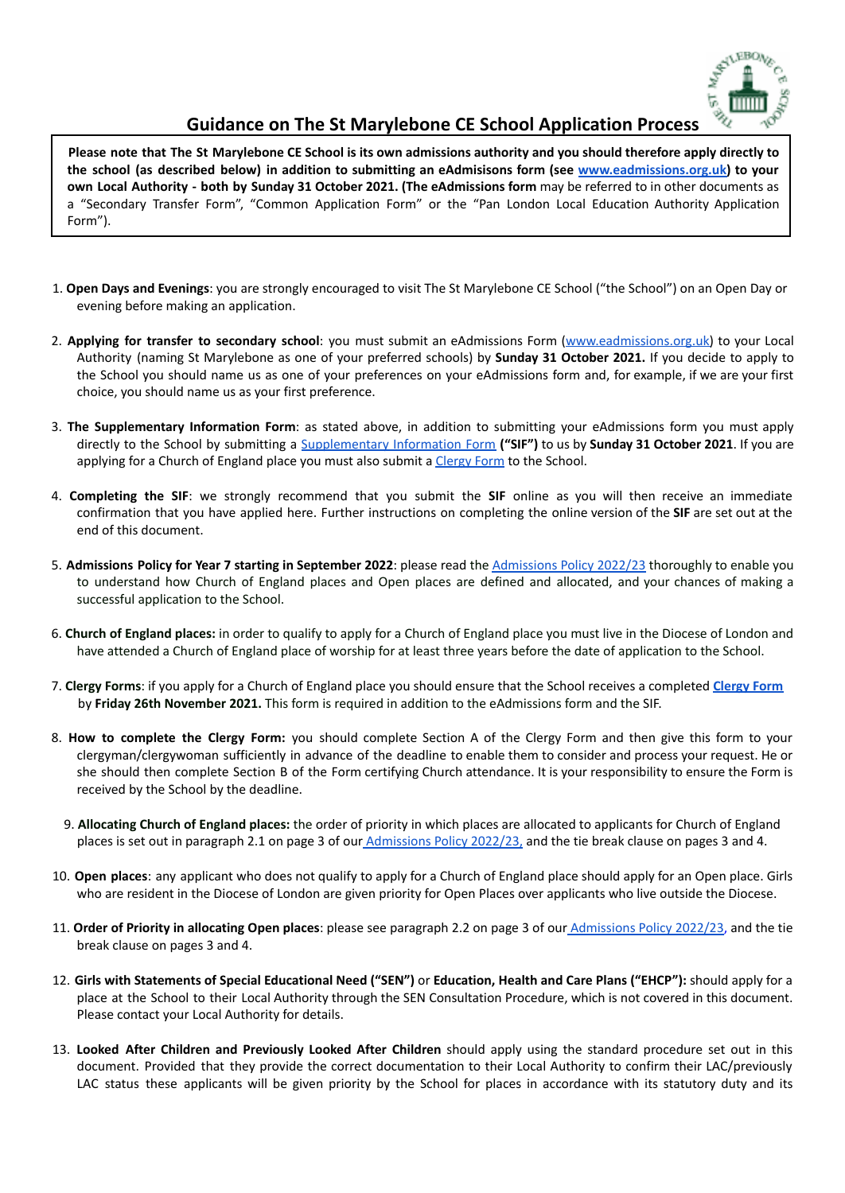

## **Guidance on The St Marylebone CE School Application Process**

Please note that The St Marylebone CE School is its own admissions authority and you should therefore apply directly to the school (as described below) in addition to submitting an eAdmisisons form (see [www.eadmissions.org.uk\)](http://www.eadmissions.org.uk) to your **own Local Authority - both by Sunday 31 October 2021. (The eAdmissions form** may be referred to in other documents as a "Secondary Transfer Form", "Common Application Form" or the "Pan London Local Education Authority Application Form").

- 1. **Open Days and Evenings**: you are strongly encouraged to visit The St Marylebone CE School ("the School") on an Open Day or evening before making an application.
- 2. **Applying for transfer to secondary school**: you must submit an eAdmissions Form [\(www.eadmissions.org.uk\)](http://www.eadmissions.org.uk) to your Local Authority (naming St Marylebone as one of your preferred schools) by **Sunday 31 October 2021.** If you decide to apply to the School you should name us as one of your preferences on your eAdmissions form and, for example, if we are your first choice, you should name us as your first preference.
- 3. **The Supplementary Information Form**: as stated above, in addition to submitting your eAdmissions form you must apply directly to the School by submitting a [Supplementary](https://docs.google.com/forms/d/e/1FAIpQLSe7Op6nVNJ-dfSgJG_bcAw_2f00E_gso2uMW1_XmHXk9NjGmQ/viewform) Information Form **("SIF")** to us by **Sunday 31 October 2021**. If you are applying for a Church of England place you must also submit a [Clergy](https://drive.google.com/file/d/1aTJ_ZH38X3icyIxEHEvXrg04nl94WUoD/edit) Form to the School.
- 4. **Completing the SIF**: we strongly recommend that you submit the **SIF** online as you will then receive an immediate confirmation that you have applied here. Further instructions on completing the online version of the **SIF** are set out at the end of this document.
- 5. **Admissions Policy for Year 7 starting in September 2022**: please read the [Admissions](https://drive.google.com/file/d/19_yWhHCiZps1Eq4LYfgVhpZOy5LZ4Z9t/view) Policy 2022/23 thoroughly to enable you to understand how Church of England places and Open places are defined and allocated, and your chances of making a successful application to the School.
- 6. **Church of England places:** in order to qualify to apply for a Church of England place you must live in the Diocese of London and have attended a Church of England place of worship for at least three years before the date of application to the School.
- 7. **Clergy Forms**: if you apply for a Church of England place you should ensure that the School receives a completed **[Clergy](https://drive.google.com/file/d/1aTJ_ZH38X3icyIxEHEvXrg04nl94WUoD/edit) Form** by **Friday 26th November 2021.** This form is required in addition to the eAdmissions form and the SIF.
- 8. **How to complete the Clergy Form:** you should complete Section A of the Clergy Form and then give this form to your clergyman/clergywoman sufficiently in advance of the deadline to enable them to consider and process your request. He or she should then complete Section B of the Form certifying Church attendance. It is your responsibility to ensure the Form is received by the School by the deadline.
	- 9. **Allocating Church of England places:** the order of priority in which places are allocated to applicants for Church of England places is set out in paragraph 2.1 on page 3 of our [Admissions](https://drive.google.com/file/d/19_yWhHCiZps1Eq4LYfgVhpZOy5LZ4Z9t/view) Policy 2022/23, and the tie break clause on pages 3 and 4.
- 10. **Open places**: any applicant who does not qualify to apply for a Church of England place should apply for an Open place. Girls who are resident in the Diocese of London are given priority for Open Places over applicants who live outside the Diocese.
- 11. **Order of Priority in allocating Open places**: please see paragraph 2.2 on page 3 of our [Admissions](https://drive.google.com/file/d/19_yWhHCiZps1Eq4LYfgVhpZOy5LZ4Z9t/view) Policy 2022/23, and the tie break clause on pages 3 and 4.
- 12. **Girls with Statements of Special Educational Need ("SEN")** or **Education, Health and Care Plans ("EHCP"):** should apply for a place at the School to their Local Authority through the SEN Consultation Procedure, which is not covered in this document. Please contact your Local Authority for details.
- 13. **Looked After Children and Previously Looked After Children** should apply using the standard procedure set out in this document. Provided that they provide the correct documentation to their Local Authority to confirm their LAC/previously LAC status these applicants will be given priority by the School for places in accordance with its statutory duty and its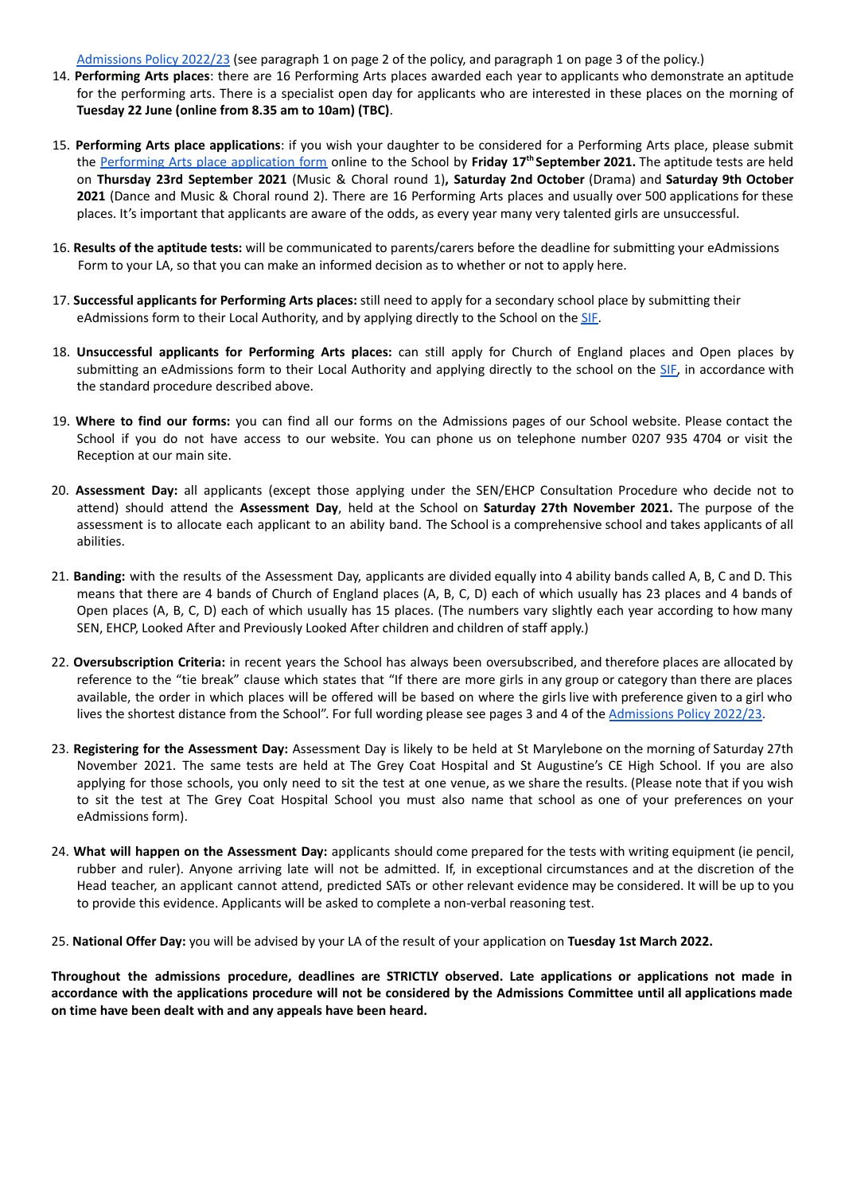[Admissions](https://drive.google.com/file/d/19_yWhHCiZps1Eq4LYfgVhpZOy5LZ4Z9t/view) Policy 2022/23 (see paragraph 1 on page 2 of the policy, and paragraph 1 on page 3 of the policy.)

- 14. **Performing Arts places**: there are 16 Performing Arts places awarded each year to applicants who demonstrate an aptitude for the performing arts. There is a specialist open day for applicants who are interested in these places on the morning of **Tuesday 22 June (online from 8.35 am to 10am) (TBC)**.
- 15. **Performing Arts place applications**: if you wish your daughter to be considered for a Performing Arts place, please submit the [Performing](https://docs.google.com/forms/d/e/1FAIpQLSeNhPRdy7ZdE3lj9ObYsW686J88sLJlCPhYj_iT5-mTcRTKHA/viewform) Arts place application form online to the School by **Friday 17 th September 2021.** The aptitude tests are held on **Thursday 23rd September 2021** (Music & Choral round 1)**, Saturday 2nd October** (Drama) and **Saturday 9th October 2021** (Dance and Music & Choral round 2). There are 16 Performing Arts places and usually over 500 applications for these places. It's important that applicants are aware of the odds, as every year many very talented girls are unsuccessful.
- 16. **Results of the aptitude tests:** will be communicated to parents/carers before the deadline for submitting your eAdmissions Form to your LA, so that you can make an informed decision as to whether or not to apply here.
- 17. **Successful applicants for Performing Arts places:** still need to apply for a secondary school place by submitting their eAdmissions form to their Local Authority, and by applying directly to the School on the [SIF.](https://docs.google.com/forms/d/e/1FAIpQLSe7Op6nVNJ-dfSgJG_bcAw_2f00E_gso2uMW1_XmHXk9NjGmQ/viewform)
- 18. **Unsuccessful applicants for Performing Arts places:** can still apply for Church of England places and Open places by submitting an eAdmissions form to their Local Authority and applying directly to the school on the [SIF,](https://docs.google.com/forms/d/e/1FAIpQLSe7Op6nVNJ-dfSgJG_bcAw_2f00E_gso2uMW1_XmHXk9NjGmQ/viewform) in accordance with the standard procedure described above.
- 19. **Where to find our forms:** you can find all our forms on the Admissions pages of our School website. Please contact the School if you do not have access to our website. You can phone us on telephone number 0207 935 4704 or visit the Reception at our main site.
- 20. **Assessment Day:** all applicants (except those applying under the SEN/EHCP Consultation Procedure who decide not to attend) should attend the **Assessment Day**, held at the School on **Saturday 27th November 2021.** The purpose of the assessment is to allocate each applicant to an ability band. The School is a comprehensive school and takes applicants of all abilities.
- 21. **Banding:** with the results of the Assessment Day, applicants are divided equally into 4 ability bands called A, B, C and D. This means that there are 4 bands of Church of England places (A, B, C, D) each of which usually has 23 places and 4 bands of Open places (A, B, C, D) each of which usually has 15 places. (The numbers vary slightly each year according to how many SEN, EHCP, Looked After and Previously Looked After children and children of staff apply.)
- 22. **Oversubscription Criteria:** in recent years the School has always been oversubscribed, and therefore places are allocated by reference to the "tie break" clause which states that "If there are more girls in any group or category than there are places available, the order in which places will be offered will be based on where the girls live with preference given to a girl who lives the shortest distance from the School". For full wording please see pages 3 and 4 of the [Admissions](https://drive.google.com/file/d/19_yWhHCiZps1Eq4LYfgVhpZOy5LZ4Z9t/view) Policy 2022/23.
- 23. **Registering for the Assessment Day:** Assessment Day is likely to be held at St Marylebone on the morning of Saturday 27th November 2021. The same tests are held at The Grey Coat Hospital and St Augustine's CE High School. If you are also applying for those schools, you only need to sit the test at one venue, as we share the results. (Please note that if you wish to sit the test at The Grey Coat Hospital School you must also name that school as one of your preferences on your eAdmissions form).
- 24. **What will happen on the Assessment Day:** applicants should come prepared for the tests with writing equipment (ie pencil, rubber and ruler). Anyone arriving late will not be admitted. If, in exceptional circumstances and at the discretion of the Head teacher, an applicant cannot attend, predicted SATs or other relevant evidence may be considered. It will be up to you to provide this evidence. Applicants will be asked to complete a non-verbal reasoning test.
- 25. **National Offer Day:** you will be advised by your LA of the result of your application on **Tuesday 1st March 2022.**

**Throughout the admissions procedure, deadlines are STRICTLY observed. Late applications or applications not made in** accordance with the applications procedure will not be considered by the Admissions Committee until all applications made **on time have been dealt with and any appeals have been heard.**